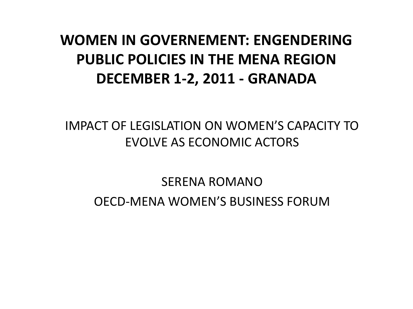# **WOMEN IN GOVERNEMENT: ENGENDERING PUBLIC POLICIES IN THE MENA REGION DECEMBER 1-2, 2011 - GRANADA**

### IMPACT OF LEGISLATION ON WOMEN'S CAPACITY TO EVOLVE AS ECONOMIC ACTORS

### SERENA ROMANO OECD-MENA WOMEN'S BUSINESS FORUM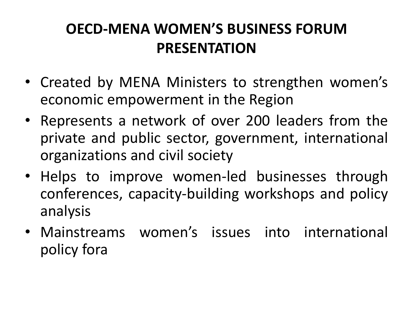# **OECD-MENA WOMEN'S BUSINESS FORUM PRESENTATION**

- Created by MENA Ministers to strengthen women's economic empowerment in the Region
- Represents a network of over 200 leaders from the private and public sector, government, international organizations and civil society
- Helps to improve women-led businesses through conferences, capacity-building workshops and policy analysis
- Mainstreams women's issues into international policy fora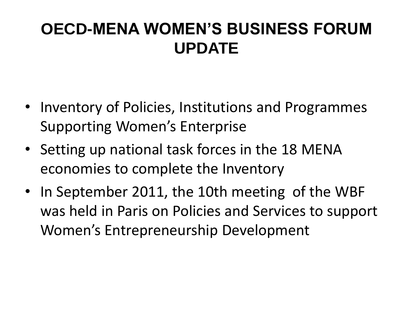# **OECD-MENA WOMEN'S BUSINESS FORUM UPDATE**

- Inventory of Policies, Institutions and Programmes Supporting Women's Enterprise
- Setting up national task forces in the 18 MENA economies to complete the Inventory
- In September 2011, the 10th meeting of the WBF was held in Paris on Policies and Services to support Women's Entrepreneurship Development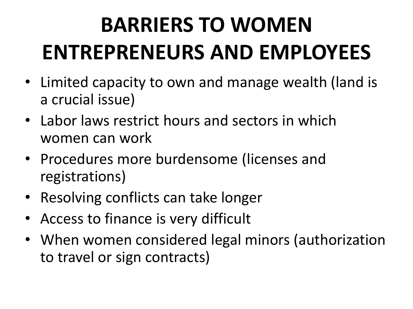# **BARRIERS TO WOMEN ENTREPRENEURS AND EMPLOYEES**

- Limited capacity to own and manage wealth (land is a crucial issue)
- Labor laws restrict hours and sectors in which women can work
- Procedures more burdensome (licenses and registrations)
- Resolving conflicts can take longer
- Access to finance is very difficult
- When women considered legal minors (authorization to travel or sign contracts)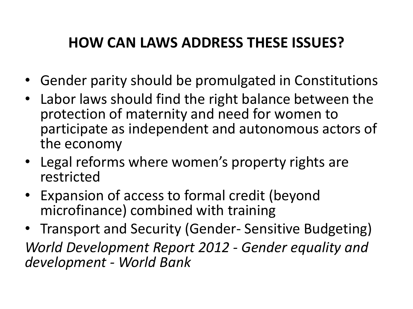# **HOW CAN LAWS ADDRESS THESE ISSUES?**

- Gender parity should be promulgated in Constitutions
- Labor laws should find the right balance between the protection of maternity and need for women to participate as independent and autonomous actors of the economy
- Legal reforms where women's property rights are restricted
- Expansion of access to formal credit (beyond microfinance) combined with training
- Transport and Security (Gender- Sensitive Budgeting) *World Development Report 2012 - Gender equality and development - World Bank*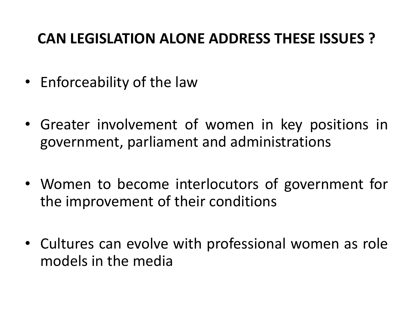### **CAN LEGISLATION ALONE ADDRESS THESE ISSUES ?**

- Enforceability of the law
- Greater involvement of women in key positions in government, parliament and administrations
- Women to become interlocutors of government for the improvement of their conditions
- Cultures can evolve with professional women as role models in the media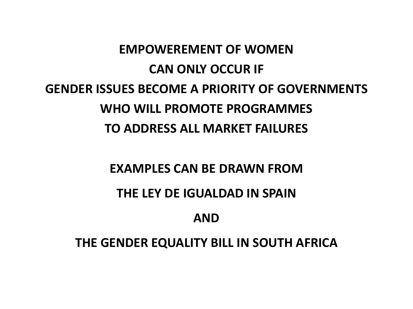# **EMPOWEREMENT OF WOMEN CAN ONLY OCCUR IF GENDER ISSUES BECOME A PRIORITY OF GOVERNMENTS WHO WILL PROMOTE PROGRAMMES TO ADDRESS ALL MARKET FAILURES**

### **EXAMPLES CAN BE DRAWN FROM**

#### **THE LEY DE IGUALDAD IN SPAIN**

#### **AND**

#### **THE GENDER EQUALITY BILL IN SOUTH AFRICA**